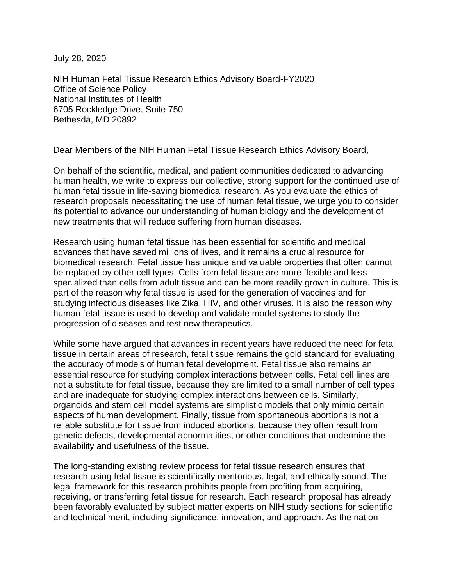July 28, 2020

NIH Human Fetal Tissue Research Ethics Advisory Board-FY2020 Office of Science Policy National Institutes of Health 6705 Rockledge Drive, Suite 750 Bethesda, MD 20892

Dear Members of the NIH Human Fetal Tissue Research Ethics Advisory Board,

On behalf of the scientific, medical, and patient communities dedicated to advancing human health, we write to express our collective, strong support for the continued use of human fetal tissue in life-saving biomedical research. As you evaluate the ethics of research proposals necessitating the use of human fetal tissue, we urge you to consider its potential to advance our understanding of human biology and the development of new treatments that will reduce suffering from human diseases.

Research using human fetal tissue has been essential for scientific and medical advances that have saved millions of lives, and it remains a crucial resource for biomedical research. Fetal tissue has unique and valuable properties that often cannot be replaced by other cell types. Cells from fetal tissue are more flexible and less specialized than cells from adult tissue and can be more readily grown in culture. This is part of the reason why fetal tissue is used for the generation of vaccines and for studying infectious diseases like Zika, HIV, and other viruses. It is also the reason why human fetal tissue is used to develop and validate model systems to study the progression of diseases and test new therapeutics.

While some have argued that advances in recent years have reduced the need for fetal tissue in certain areas of research, fetal tissue remains the gold standard for evaluating the accuracy of models of human fetal development. Fetal tissue also remains an essential resource for studying complex interactions between cells. Fetal cell lines are not a substitute for fetal tissue, because they are limited to a small number of cell types and are inadequate for studying complex interactions between cells. Similarly, organoids and stem cell model systems are simplistic models that only mimic certain aspects of human development. Finally, tissue from spontaneous abortions is not a reliable substitute for tissue from induced abortions, because they often result from genetic defects, developmental abnormalities, or other conditions that undermine the availability and usefulness of the tissue.

The long-standing existing review process for fetal tissue research ensures that research using fetal tissue is scientifically meritorious, legal, and ethically sound. The legal framework for this research prohibits people from profiting from acquiring, receiving, or transferring fetal tissue for research. Each research proposal has already been favorably evaluated by subject matter experts on NIH study sections for scientific and technical merit, including significance, innovation, and approach. As the nation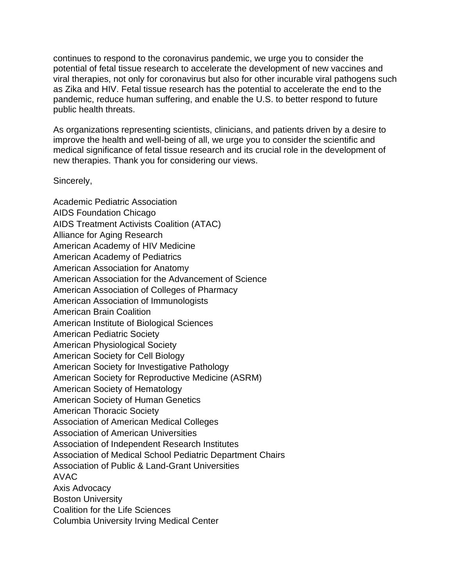continues to respond to the coronavirus pandemic, we urge you to consider the potential of fetal tissue research to accelerate the development of new vaccines and viral therapies, not only for coronavirus but also for other incurable viral pathogens such as Zika and HIV. Fetal tissue research has the potential to accelerate the end to the pandemic, reduce human suffering, and enable the U.S. to better respond to future public health threats.

As organizations representing scientists, clinicians, and patients driven by a desire to improve the health and well-being of all, we urge you to consider the scientific and medical significance of fetal tissue research and its crucial role in the development of new therapies. Thank you for considering our views.

Sincerely,

Academic Pediatric Association AIDS Foundation Chicago AIDS Treatment Activists Coalition (ATAC) Alliance for Aging Research American Academy of HIV Medicine American Academy of Pediatrics American Association for Anatomy American Association for the Advancement of Science American Association of Colleges of Pharmacy American Association of Immunologists American Brain Coalition American Institute of Biological Sciences American Pediatric Society American Physiological Society American Society for Cell Biology American Society for Investigative Pathology American Society for Reproductive Medicine (ASRM) American Society of Hematology American Society of Human Genetics American Thoracic Society Association of American Medical Colleges Association of American Universities Association of Independent Research Institutes Association of Medical School Pediatric Department Chairs Association of Public & Land-Grant Universities AVAC Axis Advocacy Boston University Coalition for the Life Sciences Columbia University Irving Medical Center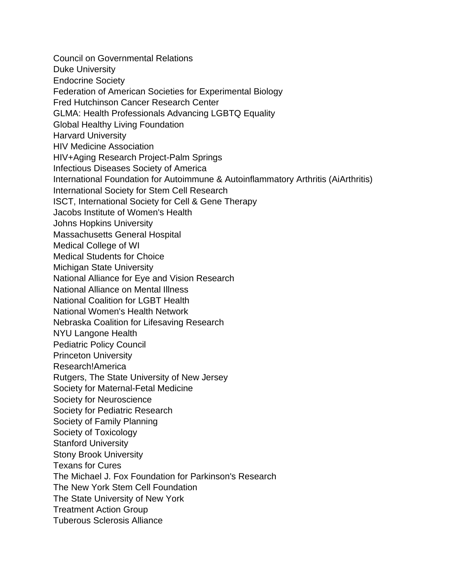Council on Governmental Relations Duke University Endocrine Society Federation of American Societies for Experimental Biology Fred Hutchinson Cancer Research Center GLMA: Health Professionals Advancing LGBTQ Equality Global Healthy Living Foundation Harvard University HIV Medicine Association HIV+Aging Research Project-Palm Springs Infectious Diseases Society of America International Foundation for Autoimmune & Autoinflammatory Arthritis (AiArthritis) International Society for Stem Cell Research ISCT, International Society for Cell & Gene Therapy Jacobs Institute of Women's Health Johns Hopkins University Massachusetts General Hospital Medical College of WI Medical Students for Choice Michigan State University National Alliance for Eye and Vision Research National Alliance on Mental Illness National Coalition for LGBT Health National Women's Health Network Nebraska Coalition for Lifesaving Research NYU Langone Health Pediatric Policy Council Princeton University Research!America Rutgers, The State University of New Jersey Society for Maternal-Fetal Medicine Society for Neuroscience Society for Pediatric Research Society of Family Planning Society of Toxicology Stanford University Stony Brook University Texans for Cures The Michael J. Fox Foundation for Parkinson's Research The New York Stem Cell Foundation The State University of New York Treatment Action Group Tuberous Sclerosis Alliance